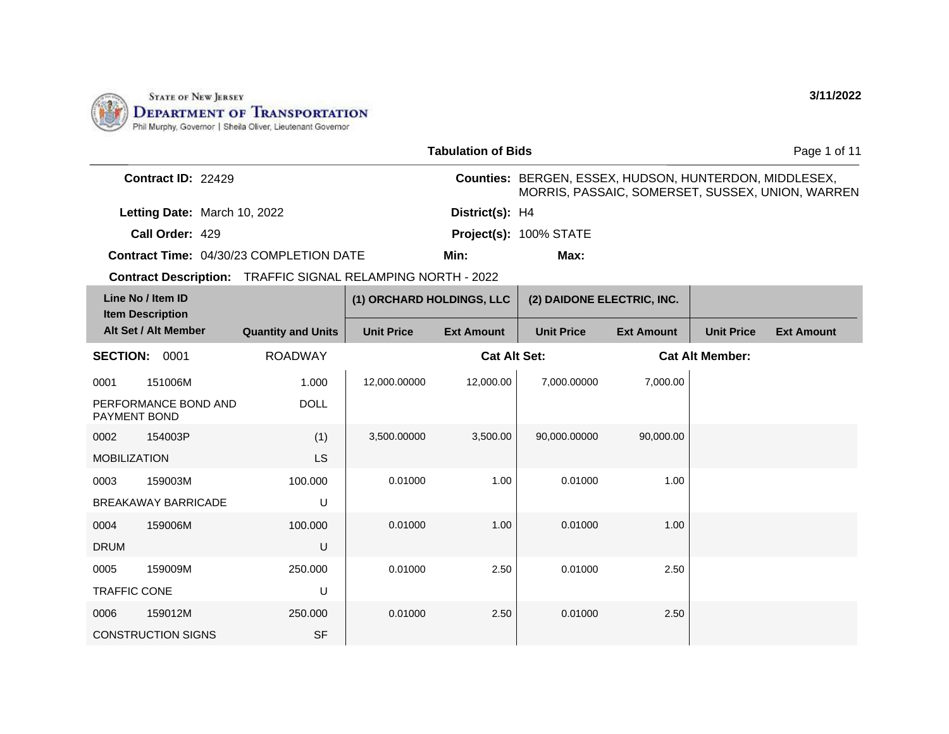

LS

U

U

U

SF

100.000

100.000

250.000

250.000

MOBILIZATION

0003 159003M

0004 159006M

0005 159009M TRAFFIC CONE

0006 159012M

CONSTRUCTION SIGNS

DRUM

BREAKAWAY BARRICADE

|                                                                    |                           |                           | <b>Tabulation of Bids</b> |                                                               |                   |                        | Page 1 of 11                                     |
|--------------------------------------------------------------------|---------------------------|---------------------------|---------------------------|---------------------------------------------------------------|-------------------|------------------------|--------------------------------------------------|
| Contract ID: 22429                                                 |                           |                           |                           | <b>Counties: BERGEN, ESSEX, HUDSON, HUNTERDON, MIDDLESEX,</b> |                   |                        | MORRIS, PASSAIC, SOMERSET, SUSSEX, UNION, WARREN |
| Letting Date: March 10, 2022                                       |                           |                           | District(s): H4           |                                                               |                   |                        |                                                  |
| Call Order: 429                                                    |                           |                           |                           | Project(s): 100% STATE                                        |                   |                        |                                                  |
| <b>Contract Time: 04/30/23 COMPLETION DATE</b>                     |                           |                           | Min:                      | Max:                                                          |                   |                        |                                                  |
| <b>Contract Description:</b> TRAFFIC SIGNAL RELAMPING NORTH - 2022 |                           |                           |                           |                                                               |                   |                        |                                                  |
| Line No / Item ID<br><b>Item Description</b>                       |                           | (1) ORCHARD HOLDINGS, LLC |                           | (2) DAIDONE ELECTRIC, INC.                                    |                   |                        |                                                  |
| Alt Set / Alt Member                                               | <b>Quantity and Units</b> | <b>Unit Price</b>         | <b>Ext Amount</b>         | <b>Unit Price</b>                                             | <b>Ext Amount</b> | <b>Unit Price</b>      | <b>Ext Amount</b>                                |
| <b>SECTION:</b><br>0001                                            | <b>ROADWAY</b>            |                           | <b>Cat Alt Set:</b>       |                                                               |                   | <b>Cat Alt Member:</b> |                                                  |
| 0001<br>151006M                                                    | 1.000                     | 12,000.00000              | 12,000.00                 | 7,000.00000                                                   | 7,000.00          |                        |                                                  |
| PERFORMANCE BOND AND<br>PAYMENT BOND                               | <b>DOLL</b>               |                           |                           |                                                               |                   |                        |                                                  |
| 0002<br>154003P                                                    | (1)                       | 3,500,00000               | 3,500.00                  | 90,000.00000                                                  | 90,000.00         |                        |                                                  |

0.01000 1.00 0.01000 1.00

 $0.01000$  1.00 0.01000 1.00

 $0.01000$  2.50 0.01000 2.50

 $0.01000$  2.50 0.01000 2.50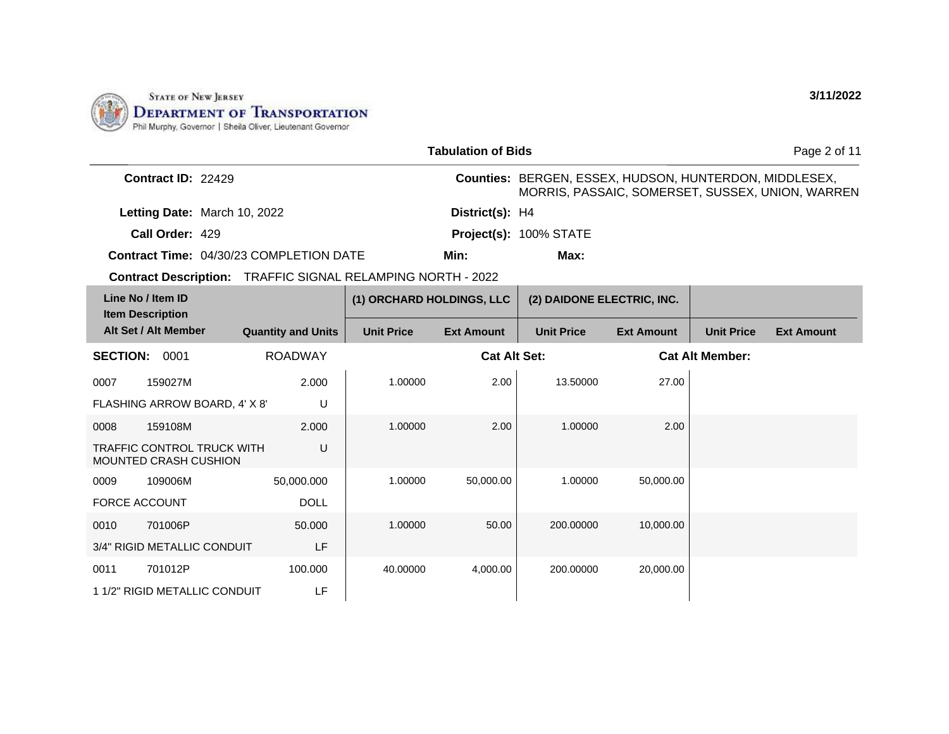

|                                              |                                                                    |                           | <b>Tabulation of Bids</b> |                        |                                                               |                        | Page 2 of 11                                     |
|----------------------------------------------|--------------------------------------------------------------------|---------------------------|---------------------------|------------------------|---------------------------------------------------------------|------------------------|--------------------------------------------------|
| <b>Contract ID: 22429</b>                    |                                                                    |                           |                           |                        | <b>Counties: BERGEN, ESSEX, HUDSON, HUNTERDON, MIDDLESEX,</b> |                        | MORRIS, PASSAIC, SOMERSET, SUSSEX, UNION, WARREN |
|                                              | Letting Date: March 10, 2022                                       |                           | District(s): H4           |                        |                                                               |                        |                                                  |
| Call Order: 429                              |                                                                    |                           |                           | Project(s): 100% STATE |                                                               |                        |                                                  |
|                                              | <b>Contract Time: 04/30/23 COMPLETION DATE</b>                     |                           | Min:                      | Max:                   |                                                               |                        |                                                  |
|                                              | <b>Contract Description:</b> TRAFFIC SIGNAL RELAMPING NORTH - 2022 |                           |                           |                        |                                                               |                        |                                                  |
| Line No / Item ID<br><b>Item Description</b> |                                                                    | (1) ORCHARD HOLDINGS, LLC |                           |                        | (2) DAIDONE ELECTRIC, INC.                                    |                        |                                                  |
| Alt Set / Alt Member                         | <b>Quantity and Units</b>                                          | <b>Unit Price</b>         | <b>Ext Amount</b>         | <b>Unit Price</b>      | <b>Ext Amount</b>                                             | <b>Unit Price</b>      | <b>Ext Amount</b>                                |
| 0001<br><b>SECTION:</b>                      | <b>ROADWAY</b>                                                     |                           | <b>Cat Alt Set:</b>       |                        |                                                               | <b>Cat Alt Member:</b> |                                                  |

| Line No / Item ID<br><b>Item Description</b> |                                                                   |                           | (1) ORCHARD HOLDINGS, LLC |                     | (2) DAIDONE ELECTRIC, INC. |                   |                        |                   |
|----------------------------------------------|-------------------------------------------------------------------|---------------------------|---------------------------|---------------------|----------------------------|-------------------|------------------------|-------------------|
| Alt Set / Alt Member                         |                                                                   | <b>Quantity and Units</b> | <b>Unit Price</b>         | <b>Ext Amount</b>   | <b>Unit Price</b>          | <b>Ext Amount</b> | <b>Unit Price</b>      | <b>Ext Amount</b> |
| <b>SECTION:</b>                              | 0001                                                              | <b>ROADWAY</b>            |                           | <b>Cat Alt Set:</b> |                            |                   | <b>Cat Alt Member:</b> |                   |
| 0007                                         | 159027M                                                           | 2.000                     | 1.00000                   | 2.00                | 13.50000                   | 27.00             |                        |                   |
|                                              | FLASHING ARROW BOARD, 4' X 8'                                     | U                         |                           |                     |                            |                   |                        |                   |
| 0008                                         | 159108M                                                           | 2.000                     | 1.00000                   | 2.00                | 1.00000                    | 2.00              |                        |                   |
|                                              | <b>TRAFFIC CONTROL TRUCK WITH</b><br><b>MOUNTED CRASH CUSHION</b> | U                         |                           |                     |                            |                   |                        |                   |
| 0009                                         | 109006M                                                           | 50,000.000                | 1.00000                   | 50,000.00           | 1.00000                    | 50,000.00         |                        |                   |
| <b>FORCE ACCOUNT</b>                         |                                                                   | <b>DOLL</b>               |                           |                     |                            |                   |                        |                   |
| 0010                                         | 701006P                                                           | 50,000                    | 1.00000                   | 50.00               | 200.00000                  | 10,000.00         |                        |                   |
|                                              | 3/4" RIGID METALLIC CONDUIT                                       | LF                        |                           |                     |                            |                   |                        |                   |
| 0011                                         | 701012P                                                           | 100.000                   | 40.00000                  | 4,000.00            | 200.00000                  | 20,000.00         |                        |                   |
|                                              | 1 1/2" RIGID METALLIC CONDUIT                                     | LF                        |                           |                     |                            |                   |                        |                   |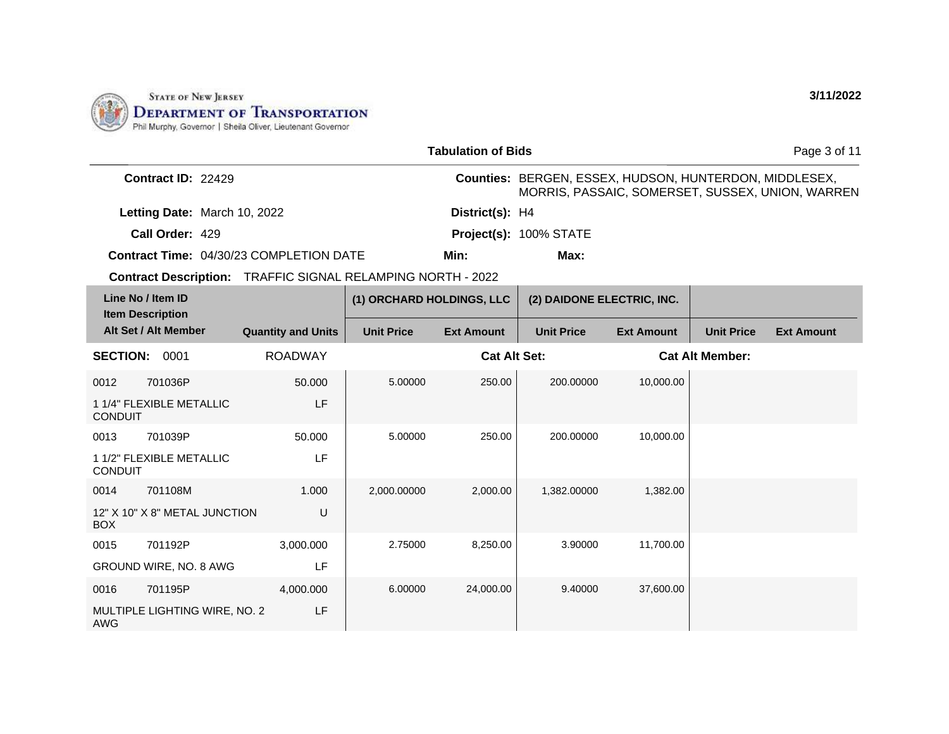

|                                              |                               |                                                                    |                           | <b>Tabulation of Bids</b> |                                                        |                   |                        | Page 3 of 11                                     |
|----------------------------------------------|-------------------------------|--------------------------------------------------------------------|---------------------------|---------------------------|--------------------------------------------------------|-------------------|------------------------|--------------------------------------------------|
|                                              | Contract ID: 22429            |                                                                    |                           |                           | Counties: BERGEN, ESSEX, HUDSON, HUNTERDON, MIDDLESEX, |                   |                        | MORRIS, PASSAIC, SOMERSET, SUSSEX, UNION, WARREN |
|                                              | Letting Date: March 10, 2022  |                                                                    |                           | District(s): H4           |                                                        |                   |                        |                                                  |
|                                              | Call Order: 429               |                                                                    |                           |                           | Project(s): 100% STATE                                 |                   |                        |                                                  |
|                                              |                               | <b>Contract Time: 04/30/23 COMPLETION DATE</b>                     |                           | Min:                      | Max:                                                   |                   |                        |                                                  |
|                                              |                               | <b>Contract Description:</b> TRAFFIC SIGNAL RELAMPING NORTH - 2022 |                           |                           |                                                        |                   |                        |                                                  |
| Line No / Item ID<br><b>Item Description</b> |                               |                                                                    | (1) ORCHARD HOLDINGS, LLC |                           | (2) DAIDONE ELECTRIC, INC.                             |                   |                        |                                                  |
|                                              | Alt Set / Alt Member          | <b>Quantity and Units</b>                                          | <b>Unit Price</b>         | <b>Ext Amount</b>         | <b>Unit Price</b>                                      | <b>Ext Amount</b> | <b>Unit Price</b>      | <b>Ext Amount</b>                                |
| <b>SECTION: 0001</b>                         |                               | <b>ROADWAY</b>                                                     |                           | <b>Cat Alt Set:</b>       |                                                        |                   | <b>Cat Alt Member:</b> |                                                  |
| 0012                                         | 701036P                       | 50.000                                                             | 5.00000                   | 250.00                    | 200.00000                                              | 10,000.00         |                        |                                                  |
| <b>CONDUIT</b>                               | 1 1/4" FLEXIBLE METALLIC      | LF                                                                 |                           |                           |                                                        |                   |                        |                                                  |
| 0013                                         | 701039P                       | 50.000                                                             | 5.00000                   | 250.00                    | 200.00000                                              | 10,000.00         |                        |                                                  |
| <b>CONDUIT</b>                               | 1 1/2" FLEXIBLE METALLIC      | LF                                                                 |                           |                           |                                                        |                   |                        |                                                  |
| 0014                                         | 701108M                       | 1.000                                                              | 2,000.00000               | 2,000.00                  | 1,382.00000                                            | 1,382.00          |                        |                                                  |
| <b>BOX</b>                                   | 12" X 10" X 8" METAL JUNCTION | U                                                                  |                           |                           |                                                        |                   |                        |                                                  |
| 0015                                         | 701192P                       | 3,000.000                                                          | 2.75000                   | 8,250.00                  | 3.90000                                                | 11,700.00         |                        |                                                  |
|                                              | GROUND WIRE, NO. 8 AWG        | LF                                                                 |                           |                           |                                                        |                   |                        |                                                  |
| 0016                                         | 701195P                       | 4,000.000                                                          | 6.00000                   | 24,000.00                 | 9.40000                                                | 37,600.00         |                        |                                                  |
| AWG                                          | MULTIPLE LIGHTING WIRE, NO. 2 | LF                                                                 |                           |                           |                                                        |                   |                        |                                                  |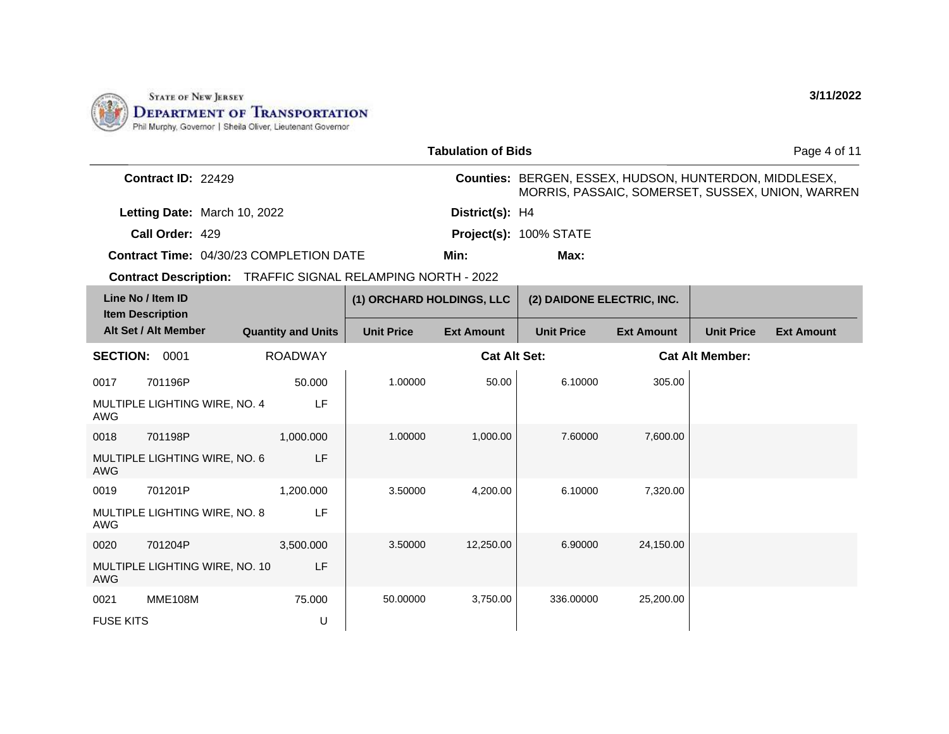

MULTIPLE LIGHTING WIRE, NO. 8

MULTIPLE LIGHTING WIRE, NO. 10

LF

LF

U

75.000

3,500.000

AWG

AWG

FUSE KITS

0020 701204P

0021 MME108M

|      |                                                |  |                           |                                       | <b>Tabulation of Bids</b> |                                                        |                   |                        | Page 4 of 11                                     |
|------|------------------------------------------------|--|---------------------------|---------------------------------------|---------------------------|--------------------------------------------------------|-------------------|------------------------|--------------------------------------------------|
|      | Contract ID: 22429                             |  |                           |                                       |                           | Counties: BERGEN, ESSEX, HUDSON, HUNTERDON, MIDDLESEX, |                   |                        | MORRIS, PASSAIC, SOMERSET, SUSSEX, UNION, WARREN |
|      | Letting Date: March 10, 2022                   |  |                           |                                       | District(s): H4           |                                                        |                   |                        |                                                  |
|      | Call Order: 429                                |  |                           |                                       |                           | Project(s): 100% STATE                                 |                   |                        |                                                  |
|      | <b>Contract Time: 04/30/23 COMPLETION DATE</b> |  |                           |                                       | Min:                      | Max:                                                   |                   |                        |                                                  |
|      | <b>Contract Description:</b>                   |  |                           | TRAFFIC SIGNAL RELAMPING NORTH - 2022 |                           |                                                        |                   |                        |                                                  |
|      | Line No / Item ID<br><b>Item Description</b>   |  |                           | (1) ORCHARD HOLDINGS, LLC             |                           | (2) DAIDONE ELECTRIC, INC.                             |                   |                        |                                                  |
|      | Alt Set / Alt Member                           |  | <b>Quantity and Units</b> | <b>Unit Price</b>                     | <b>Ext Amount</b>         | <b>Unit Price</b>                                      | <b>Ext Amount</b> | <b>Unit Price</b>      | <b>Ext Amount</b>                                |
|      | <b>SECTION: 0001</b>                           |  | <b>ROADWAY</b>            |                                       | <b>Cat Alt Set:</b>       |                                                        |                   | <b>Cat Alt Member:</b> |                                                  |
| 0017 | 701196P                                        |  | 50.000                    | 1.00000                               | 50.00                     | 6.10000                                                | 305.00            |                        |                                                  |
| AWG  | MULTIPLE LIGHTING WIRE, NO. 4                  |  | LF                        |                                       |                           |                                                        |                   |                        |                                                  |
| 0018 | 701198P                                        |  | 1,000.000                 | 1.00000                               | 1,000.00                  | 7.60000                                                | 7,600.00          |                        |                                                  |
| AWG  | MULTIPLE LIGHTING WIRE, NO. 6                  |  | LF                        |                                       |                           |                                                        |                   |                        |                                                  |
| 0019 | 701201P                                        |  | 1,200.000                 | 3.50000                               | 4,200.00                  | 6.10000                                                | 7,320.00          |                        |                                                  |

3.50000 12,250.00 6.90000 24,150.00

**3/11/2022**

50.00000 3,750.00 336.00000 25,200.00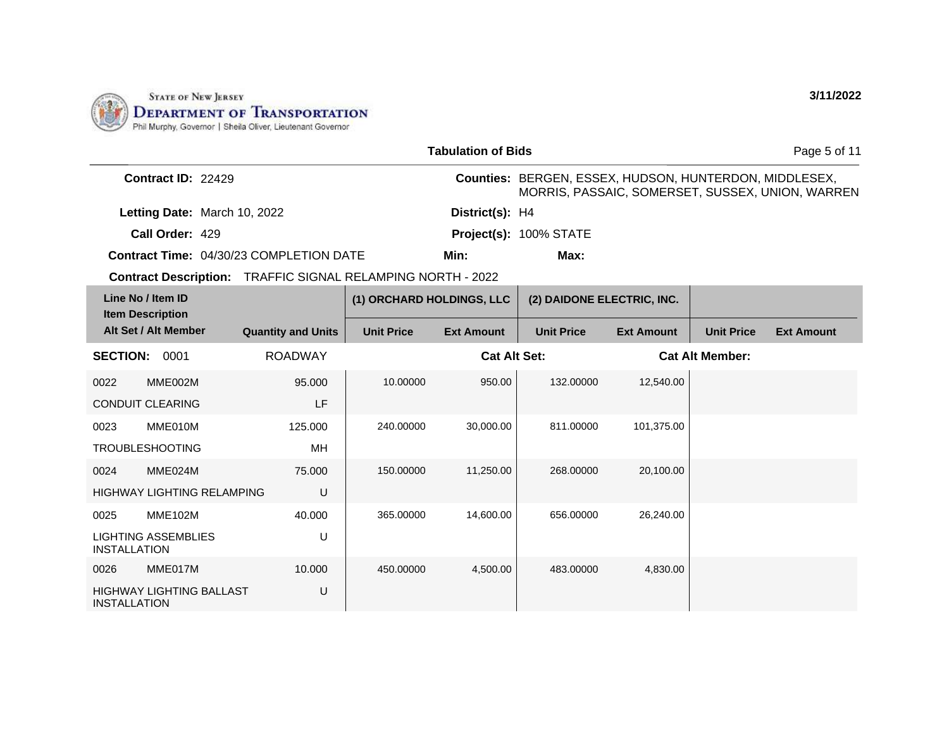

INSTALLATION

|                     |                                              |                                                                    |                           | <b>Tabulation of Bids</b> |                                                        |                   |                        | Page 5 of 11                                     |
|---------------------|----------------------------------------------|--------------------------------------------------------------------|---------------------------|---------------------------|--------------------------------------------------------|-------------------|------------------------|--------------------------------------------------|
|                     | Contract ID: 22429                           |                                                                    |                           |                           | Counties: BERGEN, ESSEX, HUDSON, HUNTERDON, MIDDLESEX, |                   |                        | MORRIS, PASSAIC, SOMERSET, SUSSEX, UNION, WARREN |
|                     | Letting Date: March 10, 2022                 |                                                                    |                           | District(s): H4           |                                                        |                   |                        |                                                  |
|                     | Call Order: 429                              |                                                                    |                           |                           | Project(s): 100% STATE                                 |                   |                        |                                                  |
|                     |                                              | <b>Contract Time: 04/30/23 COMPLETION DATE</b>                     |                           | Min:                      | Max:                                                   |                   |                        |                                                  |
|                     |                                              | <b>Contract Description:</b> TRAFFIC SIGNAL RELAMPING NORTH - 2022 |                           |                           |                                                        |                   |                        |                                                  |
|                     | Line No / Item ID<br><b>Item Description</b> |                                                                    | (1) ORCHARD HOLDINGS, LLC |                           | (2) DAIDONE ELECTRIC, INC.                             |                   |                        |                                                  |
|                     | Alt Set / Alt Member                         | <b>Quantity and Units</b>                                          | <b>Unit Price</b>         | <b>Ext Amount</b>         | <b>Unit Price</b>                                      | <b>Ext Amount</b> | <b>Unit Price</b>      | <b>Ext Amount</b>                                |
| <b>SECTION:</b>     | 0001                                         | <b>ROADWAY</b>                                                     |                           | <b>Cat Alt Set:</b>       |                                                        |                   | <b>Cat Alt Member:</b> |                                                  |
| 0022                | MME002M                                      | 95.000                                                             | 10.00000                  | 950.00                    | 132.00000                                              | 12,540.00         |                        |                                                  |
|                     | <b>CONDUIT CLEARING</b>                      | LF                                                                 |                           |                           |                                                        |                   |                        |                                                  |
| 0023                | MME010M                                      | 125.000                                                            | 240.00000                 | 30,000.00                 | 811.00000                                              | 101,375.00        |                        |                                                  |
|                     | <b>TROUBLESHOOTING</b>                       | MH                                                                 |                           |                           |                                                        |                   |                        |                                                  |
| 0024                | MME024M                                      | 75.000                                                             | 150.00000                 | 11,250.00                 | 268.00000                                              | 20,100.00         |                        |                                                  |
|                     | <b>HIGHWAY LIGHTING RELAMPING</b>            | U                                                                  |                           |                           |                                                        |                   |                        |                                                  |
| 0025                | <b>MME102M</b>                               | 40.000                                                             | 365.00000                 | 14,600.00                 | 656.00000                                              | 26,240.00         |                        |                                                  |
| <b>INSTALLATION</b> | <b>LIGHTING ASSEMBLIES</b>                   | U                                                                  |                           |                           |                                                        |                   |                        |                                                  |
| 0026                | MME017M                                      | 10.000                                                             | 450.00000                 | 4,500.00                  | 483.00000                                              | 4,830.00          |                        |                                                  |
|                     | HIGHWAY LIGHTING BALLAST                     | U                                                                  |                           |                           |                                                        |                   |                        |                                                  |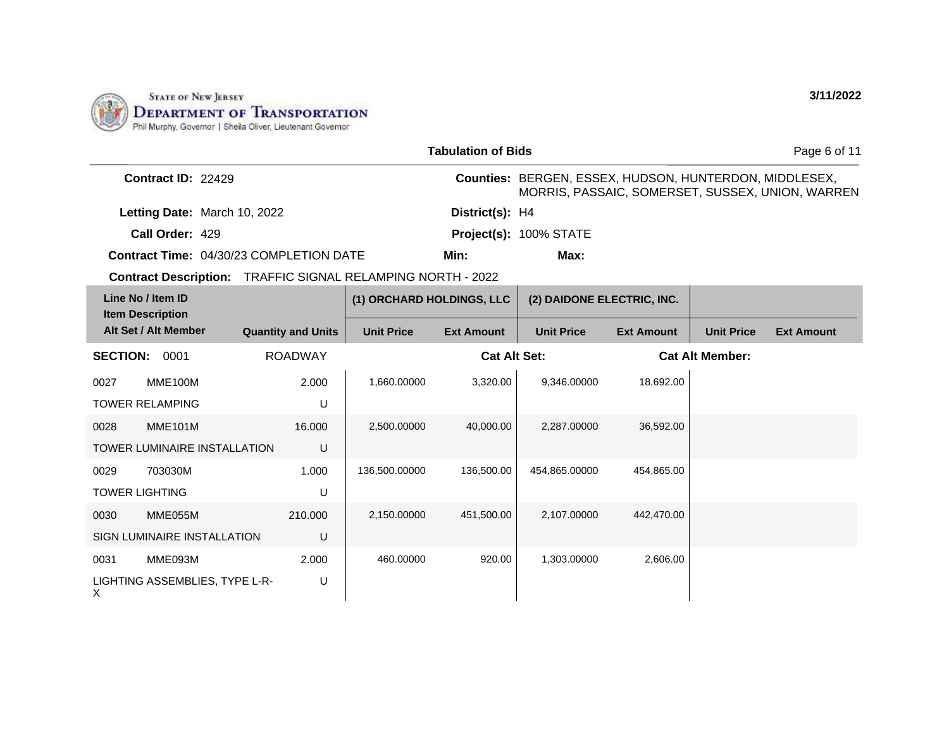

0031 MME093M

X

LIGHTING ASSEMBLIES, TYPE L-R-

2.000 U

|                 |                                              |                                                |                           | <b>Tabulation of Bids</b> |                                                        |                   |                        | Page 6 of 11                                     |
|-----------------|----------------------------------------------|------------------------------------------------|---------------------------|---------------------------|--------------------------------------------------------|-------------------|------------------------|--------------------------------------------------|
|                 | Contract ID: 22429                           |                                                |                           |                           | Counties: BERGEN, ESSEX, HUDSON, HUNTERDON, MIDDLESEX, |                   |                        | MORRIS, PASSAIC, SOMERSET, SUSSEX, UNION, WARREN |
|                 | Letting Date: March 10, 2022                 |                                                |                           | District(s): H4           |                                                        |                   |                        |                                                  |
|                 | Call Order: 429                              |                                                |                           |                           | Project(s): 100% STATE                                 |                   |                        |                                                  |
|                 |                                              | <b>Contract Time: 04/30/23 COMPLETION DATE</b> |                           | Min:                      | Max:                                                   |                   |                        |                                                  |
|                 | <b>Contract Description:</b>                 | TRAFFIC SIGNAL RELAMPING NORTH - 2022          |                           |                           |                                                        |                   |                        |                                                  |
|                 | Line No / Item ID<br><b>Item Description</b> |                                                | (1) ORCHARD HOLDINGS, LLC |                           | (2) DAIDONE ELECTRIC, INC.                             |                   |                        |                                                  |
|                 | Alt Set / Alt Member                         | <b>Quantity and Units</b>                      | <b>Unit Price</b>         | <b>Ext Amount</b>         | <b>Unit Price</b>                                      | <b>Ext Amount</b> | <b>Unit Price</b>      | <b>Ext Amount</b>                                |
| <b>SECTION:</b> | 0001                                         | <b>ROADWAY</b>                                 |                           | <b>Cat Alt Set:</b>       |                                                        |                   | <b>Cat Alt Member:</b> |                                                  |
| 0027            | <b>MME100M</b>                               | 2.000                                          | 1,660.00000               | 3,320.00                  | 9.346.00000                                            | 18,692.00         |                        |                                                  |
|                 | <b>TOWER RELAMPING</b>                       | U                                              |                           |                           |                                                        |                   |                        |                                                  |
| 0028            | <b>MME101M</b>                               | 16,000                                         | 2,500.00000               | 40,000.00                 | 2,287.00000                                            | 36,592.00         |                        |                                                  |
|                 | <b>TOWER LUMINAIRE INSTALLATION</b>          | U                                              |                           |                           |                                                        |                   |                        |                                                  |
| 0029            | 703030M                                      | 1.000                                          | 136,500.00000             | 136,500.00                | 454,865.00000                                          | 454,865.00        |                        |                                                  |
|                 | <b>TOWER LIGHTING</b>                        | U                                              |                           |                           |                                                        |                   |                        |                                                  |
| 0030            | MME055M                                      | 210.000                                        | 2,150.00000               | 451,500.00                | 2,107.00000                                            | 442,470.00        |                        |                                                  |
|                 | <b>SIGN LUMINAIRE INSTALLATION</b>           | U                                              |                           |                           |                                                        |                   |                        |                                                  |

460.00000 920.00 920.00 1,303.00000 2,606.00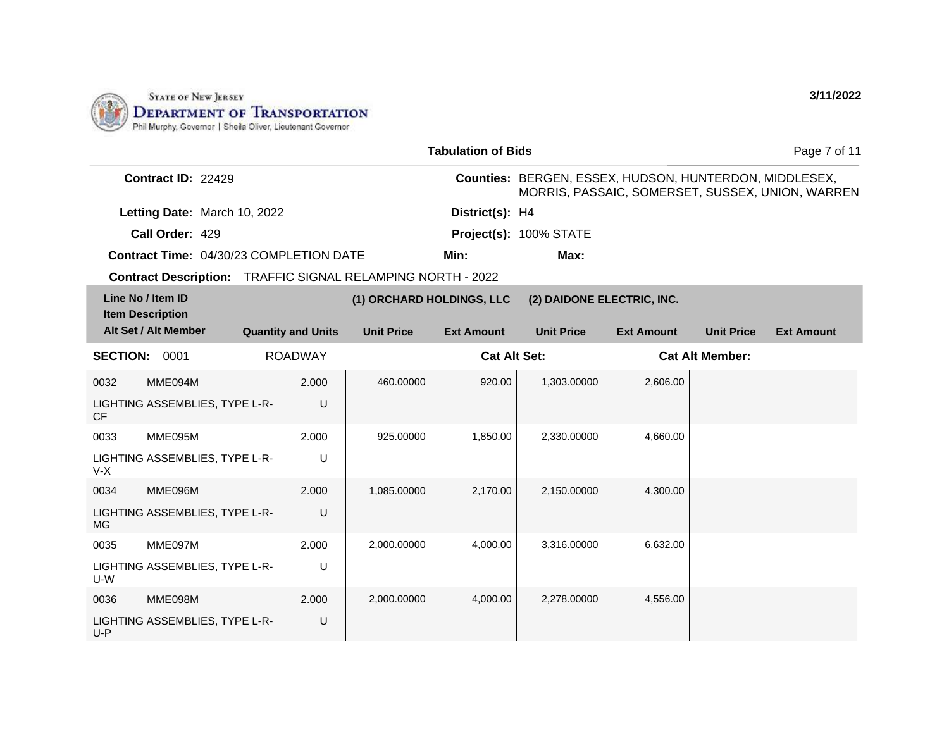

|           |                                                                    |                           |                           | <b>Tabulation of Bids</b> |                                                        |                   |                        | Page 7 of 11                                     |
|-----------|--------------------------------------------------------------------|---------------------------|---------------------------|---------------------------|--------------------------------------------------------|-------------------|------------------------|--------------------------------------------------|
|           | Contract ID: 22429                                                 |                           |                           |                           | Counties: BERGEN, ESSEX, HUDSON, HUNTERDON, MIDDLESEX, |                   |                        | MORRIS, PASSAIC, SOMERSET, SUSSEX, UNION, WARREN |
|           | Letting Date: March 10, 2022                                       |                           |                           | District(s): H4           |                                                        |                   |                        |                                                  |
|           | Call Order: 429                                                    |                           |                           |                           | Project(s): 100% STATE                                 |                   |                        |                                                  |
|           | Contract Time: 04/30/23 COMPLETION DATE                            |                           |                           | Min:                      | Max:                                                   |                   |                        |                                                  |
|           | <b>Contract Description: TRAFFIC SIGNAL RELAMPING NORTH - 2022</b> |                           |                           |                           |                                                        |                   |                        |                                                  |
|           | Line No / Item ID<br><b>Item Description</b>                       |                           | (1) ORCHARD HOLDINGS, LLC |                           | (2) DAIDONE ELECTRIC, INC.                             |                   |                        |                                                  |
|           | Alt Set / Alt Member                                               | <b>Quantity and Units</b> | <b>Unit Price</b>         | <b>Ext Amount</b>         | <b>Unit Price</b>                                      | <b>Ext Amount</b> | <b>Unit Price</b>      | <b>Ext Amount</b>                                |
|           | <b>SECTION: 0001</b>                                               | <b>ROADWAY</b>            |                           | <b>Cat Alt Set:</b>       |                                                        |                   | <b>Cat Alt Member:</b> |                                                  |
| 0032      | MME094M                                                            | 2.000                     | 460.00000                 | 920.00                    | 1,303.00000                                            | 2,606.00          |                        |                                                  |
| <b>CF</b> | LIGHTING ASSEMBLIES, TYPE L-R-                                     | U                         |                           |                           |                                                        |                   |                        |                                                  |
| 0033      | MME095M                                                            | 2.000                     | 925.00000                 | 1,850.00                  | 2,330.00000                                            | 4,660.00          |                        |                                                  |
| $V-X$     | LIGHTING ASSEMBLIES, TYPE L-R-                                     | U                         |                           |                           |                                                        |                   |                        |                                                  |
| 0034      | MME096M                                                            | 2.000                     | 1,085.00000               | 2,170.00                  | 2,150.00000                                            | 4,300.00          |                        |                                                  |
| MG.       | LIGHTING ASSEMBLIES, TYPE L-R-                                     | U                         |                           |                           |                                                        |                   |                        |                                                  |
| 0035      | MME097M                                                            | 2.000                     | 2,000.00000               | 4,000.00                  | 3,316.00000                                            | 6,632.00          |                        |                                                  |
| U-W       | LIGHTING ASSEMBLIES, TYPE L-R-                                     | U                         |                           |                           |                                                        |                   |                        |                                                  |
| 0036      | MME098M                                                            | 2.000                     | 2,000.00000               | 4,000.00                  | 2,278.00000                                            | 4,556.00          |                        |                                                  |
| U-P       | LIGHTING ASSEMBLIES, TYPE L-R-                                     | U                         |                           |                           |                                                        |                   |                        |                                                  |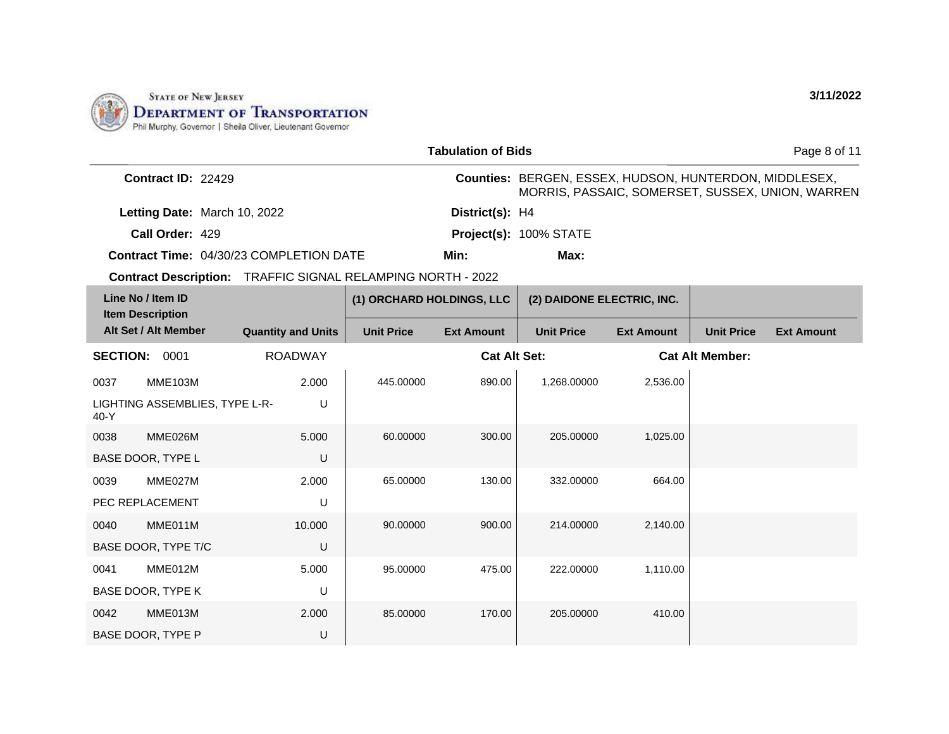

BASE DOOR, TYPE L

0039 MME027M PEC REPLACEMENT

0040 MME011M BASE DOOR, TYPE T/C

0041 MME012M BASE DOOR, TYPE K

0042 MME013M BASE DOOR, TYPE P

|                 |                                              |                                                                    |                           | <b>Tabulation of Bids</b> |                                                               |                   |                        | Page 8 of 11                                     |
|-----------------|----------------------------------------------|--------------------------------------------------------------------|---------------------------|---------------------------|---------------------------------------------------------------|-------------------|------------------------|--------------------------------------------------|
|                 | Contract ID: 22429                           |                                                                    |                           |                           | <b>Counties: BERGEN, ESSEX, HUDSON, HUNTERDON, MIDDLESEX,</b> |                   |                        | MORRIS, PASSAIC, SOMERSET, SUSSEX, UNION, WARREN |
|                 | Letting Date: March 10, 2022                 |                                                                    |                           | District(s): H4           |                                                               |                   |                        |                                                  |
|                 | Call Order: 429                              |                                                                    |                           |                           | Project(s): 100% STATE                                        |                   |                        |                                                  |
|                 |                                              | <b>Contract Time: 04/30/23 COMPLETION DATE</b>                     |                           | Min:                      | Max:                                                          |                   |                        |                                                  |
|                 |                                              | <b>Contract Description:</b> TRAFFIC SIGNAL RELAMPING NORTH - 2022 |                           |                           |                                                               |                   |                        |                                                  |
|                 | Line No / Item ID<br><b>Item Description</b> |                                                                    | (1) ORCHARD HOLDINGS, LLC |                           | (2) DAIDONE ELECTRIC, INC.                                    |                   |                        |                                                  |
|                 | Alt Set / Alt Member                         | <b>Quantity and Units</b>                                          | <b>Unit Price</b>         | <b>Ext Amount</b>         | <b>Unit Price</b>                                             | <b>Ext Amount</b> | <b>Unit Price</b>      | <b>Ext Amount</b>                                |
| <b>SECTION:</b> | 0001                                         | <b>ROADWAY</b>                                                     |                           | <b>Cat Alt Set:</b>       |                                                               |                   | <b>Cat Alt Member:</b> |                                                  |
| 0037            | <b>MME103M</b>                               | 2.000                                                              | 445.00000                 | 890.00                    | 1,268.00000                                                   | 2,536.00          |                        |                                                  |
| 40-Y            | LIGHTING ASSEMBLIES, TYPE L-R-               | U                                                                  |                           |                           |                                                               |                   |                        |                                                  |
| 0038            | MME026M                                      | 5.000                                                              | 60.00000                  | 300.00                    | 205.00000                                                     | 1,025.00          |                        |                                                  |

65.00000 130.00 332.00000 664.00

90.00000 900.00 214.00000 2,140.00

95.00000 475.00 222.00000 1,110.00

85.00000 170.00 205.00000 410.00

U

2.000 U

10.000

5.000 U

2.000 U

U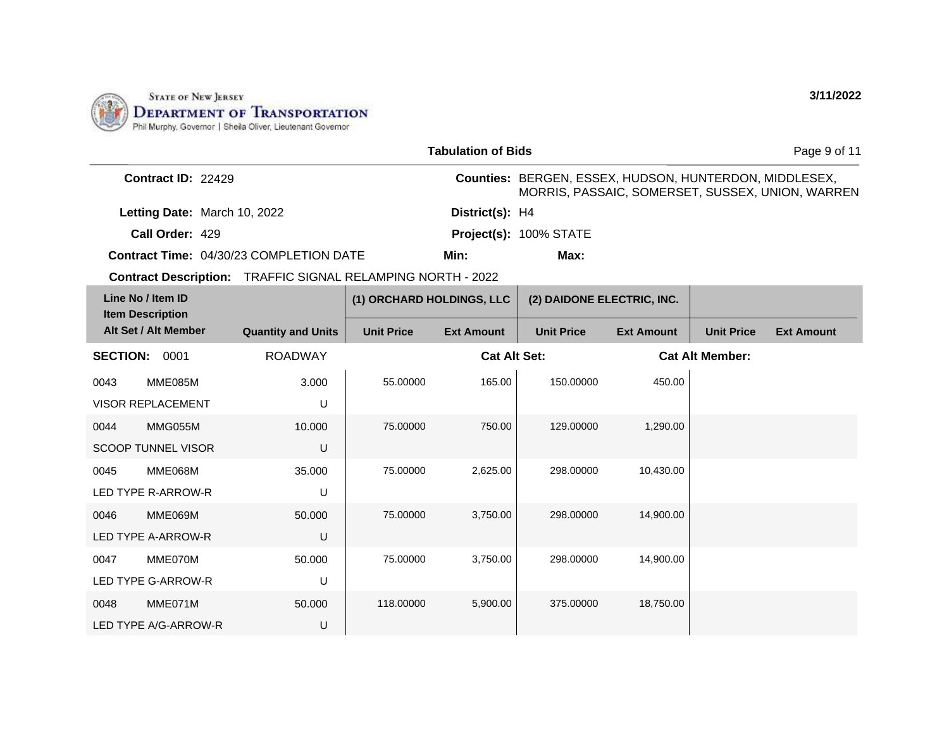

|                           |                                                | <b>Tabulation of Bids</b> |                                                                                                            | Page 9 of 11 |
|---------------------------|------------------------------------------------|---------------------------|------------------------------------------------------------------------------------------------------------|--------------|
| <b>Contract ID: 22429</b> |                                                |                           | Counties: BERGEN, ESSEX, HUDSON, HUNTERDON, MIDDLESEX,<br>MORRIS, PASSAIC, SOMERSET, SUSSEX, UNION, WARREN |              |
|                           | Letting Date: March 10, 2022                   | District(s): H4           |                                                                                                            |              |
| Call Order: 429           |                                                |                           | Project(s): 100% STATE                                                                                     |              |
|                           | <b>Contract Time: 04/30/23 COMPLETION DATE</b> | Min:                      | Max:                                                                                                       |              |

Contract Description: TRAFFIC SIGNAL RELAMPING NORTH - 2022

| Line No / Item ID<br><b>Item Description</b> |                                                   | (1) ORCHARD HOLDINGS, LLC |                   | (2) DAIDONE ELECTRIC, INC. |                   |                   |                        |                   |
|----------------------------------------------|---------------------------------------------------|---------------------------|-------------------|----------------------------|-------------------|-------------------|------------------------|-------------------|
|                                              | Alt Set / Alt Member<br><b>Quantity and Units</b> |                           | <b>Unit Price</b> | <b>Ext Amount</b>          | <b>Unit Price</b> | <b>Ext Amount</b> | <b>Unit Price</b>      | <b>Ext Amount</b> |
| <b>SECTION:</b>                              | 0001                                              | <b>ROADWAY</b>            |                   | <b>Cat Alt Set:</b>        |                   |                   | <b>Cat Alt Member:</b> |                   |
| 0043                                         | MME085M                                           | 3.000                     | 55.00000          | 165.00                     | 150.00000         | 450.00            |                        |                   |
|                                              | <b>VISOR REPLACEMENT</b>                          | U                         |                   |                            |                   |                   |                        |                   |
| 0044                                         | MMG055M                                           | 10.000                    | 75.00000          | 750.00                     | 129.00000         | 1,290.00          |                        |                   |
|                                              | <b>SCOOP TUNNEL VISOR</b>                         | U                         |                   |                            |                   |                   |                        |                   |
| 0045                                         | MME068M                                           | 35.000                    | 75.00000          | 2,625.00                   | 298,00000         | 10,430.00         |                        |                   |
|                                              | LED TYPE R-ARROW-R                                | U                         |                   |                            |                   |                   |                        |                   |
| 0046                                         | MME069M                                           | 50.000                    | 75.00000          | 3,750.00                   | 298,00000         | 14,900.00         |                        |                   |
|                                              | LED TYPE A-ARROW-R                                | U                         |                   |                            |                   |                   |                        |                   |
| 0047                                         | MME070M                                           | 50.000                    | 75.00000          | 3,750.00                   | 298.00000         | 14,900.00         |                        |                   |
|                                              | <b>LED TYPE G-ARROW-R</b>                         | U                         |                   |                            |                   |                   |                        |                   |
| 0048                                         | MME071M                                           | 50.000                    | 118.00000         | 5,900.00                   | 375.00000         | 18,750.00         |                        |                   |
|                                              | LED TYPE A/G-ARROW-R                              | U                         |                   |                            |                   |                   |                        |                   |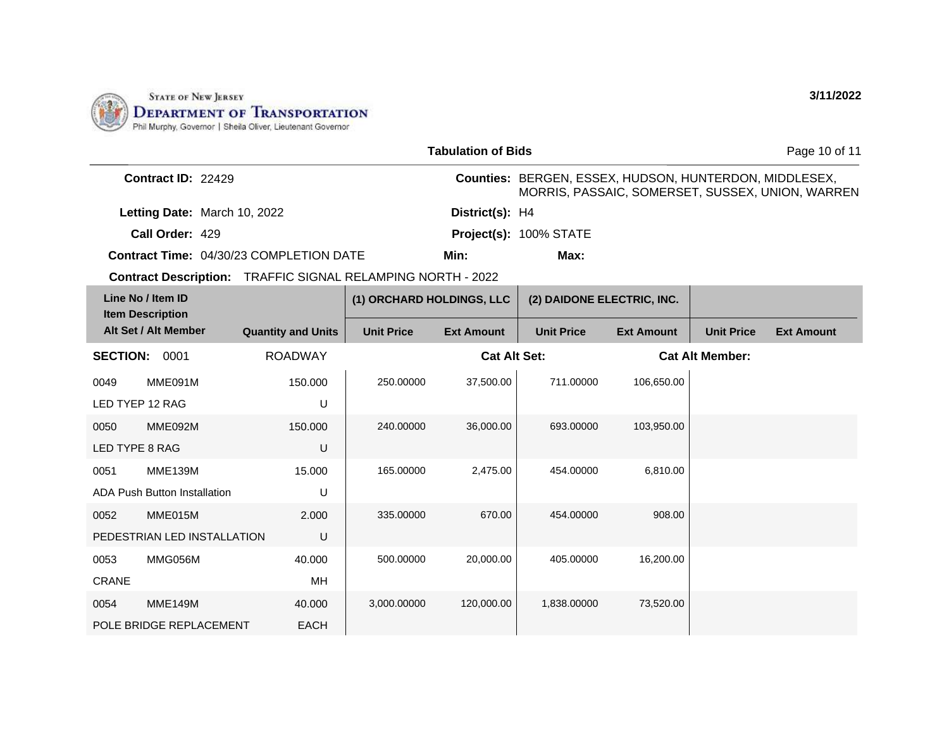

|                                              |                                                | <b>Tabulation of Bids</b>                                          |                                                               | Page 10 of 11                                    |
|----------------------------------------------|------------------------------------------------|--------------------------------------------------------------------|---------------------------------------------------------------|--------------------------------------------------|
| <b>Contract ID: 22429</b>                    |                                                |                                                                    | <b>Counties: BERGEN, ESSEX, HUDSON, HUNTERDON, MIDDLESEX,</b> | MORRIS, PASSAIC, SOMERSET, SUSSEX, UNION, WARREN |
|                                              | Letting Date: March 10, 2022                   | District(s): H4                                                    |                                                               |                                                  |
| Call Order: 429                              |                                                |                                                                    | Project(s): 100% STATE                                        |                                                  |
|                                              | <b>Contract Time: 04/30/23 COMPLETION DATE</b> | Min:                                                               | Max:                                                          |                                                  |
|                                              |                                                | <b>Contract Description: TRAFFIC SIGNAL RELAMPING NORTH - 2022</b> |                                                               |                                                  |
| Line No / Item ID<br><b>Item Description</b> |                                                | (1) ORCHARD HOLDINGS, LLC                                          | (2) DAIDONE ELECTRIC, INC.                                    |                                                  |
|                                              |                                                |                                                                    |                                                               |                                                  |

|                 | Alt Set / Alt Member         | <b>Quantity and Units</b> | <b>Unit Price</b> | <b>Ext Amount</b>   | <b>Unit Price</b> | <b>Ext Amount</b> | <b>Unit Price</b>      | <b>Ext Amount</b> |
|-----------------|------------------------------|---------------------------|-------------------|---------------------|-------------------|-------------------|------------------------|-------------------|
| <b>SECTION:</b> | 0001                         | <b>ROADWAY</b>            |                   | <b>Cat Alt Set:</b> |                   |                   | <b>Cat Alt Member:</b> |                   |
| 0049            | MME091M                      | 150.000                   | 250.00000         | 37,500.00           | 711.00000         | 106,650.00        |                        |                   |
| LED TYEP 12 RAG |                              | U                         |                   |                     |                   |                   |                        |                   |
| 0050            | MME092M                      | 150.000                   | 240.00000         | 36,000.00           | 693.00000         | 103,950.00        |                        |                   |
| LED TYPE 8 RAG  |                              | U                         |                   |                     |                   |                   |                        |                   |
| 0051            | <b>MME139M</b>               | 15.000                    | 165.00000         | 2,475.00            | 454.00000         | 6,810.00          |                        |                   |
|                 | ADA Push Button Installation | U                         |                   |                     |                   |                   |                        |                   |
| 0052            | MME015M                      | 2.000                     | 335.00000         | 670.00              | 454.00000         | 908.00            |                        |                   |
|                 | PEDESTRIAN LED INSTALLATION  | U                         |                   |                     |                   |                   |                        |                   |
| 0053            | MMG056M                      | 40.000                    | 500.00000         | 20,000.00           | 405.00000         | 16,200.00         |                        |                   |
| <b>CRANE</b>    |                              | МH                        |                   |                     |                   |                   |                        |                   |
| 0054            | <b>MME149M</b>               | 40.000                    | 3,000.00000       | 120,000.00          | 1,838.00000       | 73,520.00         |                        |                   |
|                 | POLE BRIDGE REPLACEMENT      | EACH                      |                   |                     |                   |                   |                        |                   |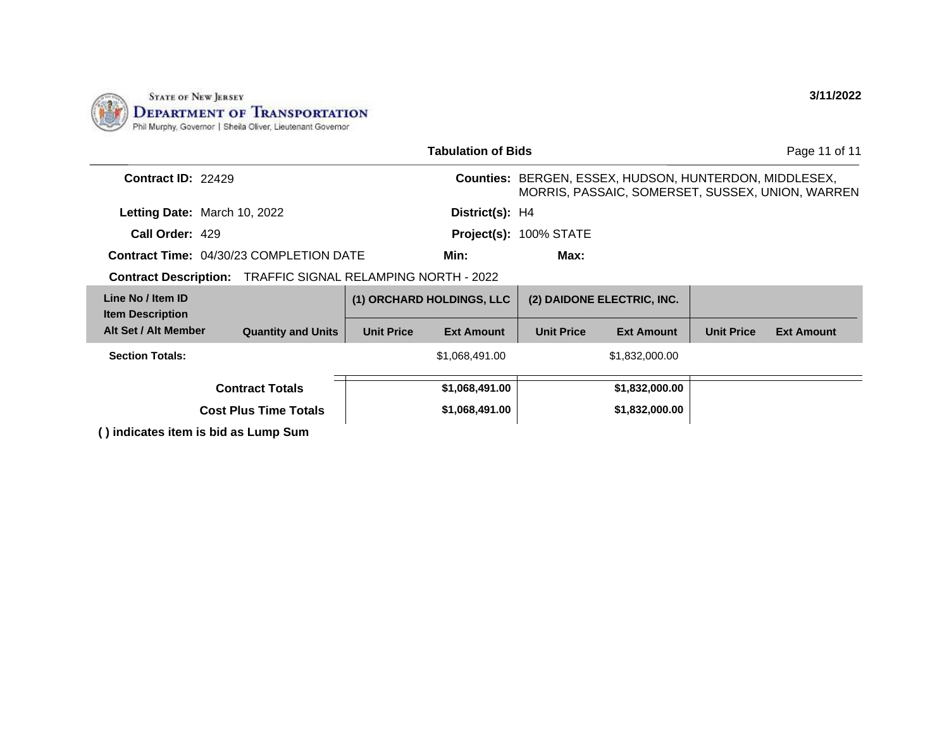

| <b>Tabulation of Bids</b>                                          |                           |                                                                                                                   |                           |                   |                            | Page 11 of 11     |                   |
|--------------------------------------------------------------------|---------------------------|-------------------------------------------------------------------------------------------------------------------|---------------------------|-------------------|----------------------------|-------------------|-------------------|
| <b>Contract ID: 22429</b>                                          |                           | <b>Counties: BERGEN, ESSEX, HUDSON, HUNTERDON, MIDDLESEX,</b><br>MORRIS, PASSAIC, SOMERSET, SUSSEX, UNION, WARREN |                           |                   |                            |                   |                   |
| Letting Date: March 10, 2022                                       |                           |                                                                                                                   | District(s): H4           |                   |                            |                   |                   |
| Call Order: 429                                                    |                           |                                                                                                                   | Project(s): 100% STATE    |                   |                            |                   |                   |
| <b>Contract Time: 04/30/23 COMPLETION DATE</b>                     |                           |                                                                                                                   | Min:                      | Max:              |                            |                   |                   |
| <b>Contract Description: TRAFFIC SIGNAL RELAMPING NORTH - 2022</b> |                           |                                                                                                                   |                           |                   |                            |                   |                   |
| Line No / Item ID<br><b>Item Description</b>                       |                           |                                                                                                                   | (1) ORCHARD HOLDINGS, LLC |                   | (2) DAIDONE ELECTRIC, INC. |                   |                   |
| Alt Set / Alt Member                                               | <b>Quantity and Units</b> | <b>Unit Price</b>                                                                                                 | <b>Ext Amount</b>         | <b>Unit Price</b> | <b>Ext Amount</b>          | <b>Unit Price</b> | <b>Ext Amount</b> |
| <b>Section Totals:</b>                                             |                           |                                                                                                                   | \$1,068,491.00            |                   | \$1,832,000.00             |                   |                   |
| <b>Contract Totals</b>                                             |                           | \$1,068,491.00                                                                                                    |                           | \$1,832,000.00    |                            |                   |                   |
| <b>Cost Plus Time Totals</b>                                       |                           |                                                                                                                   | \$1,068,491.00            |                   | \$1,832,000.00             |                   |                   |
| () indicates item is bid as Lump Sum                               |                           |                                                                                                                   |                           |                   |                            |                   |                   |